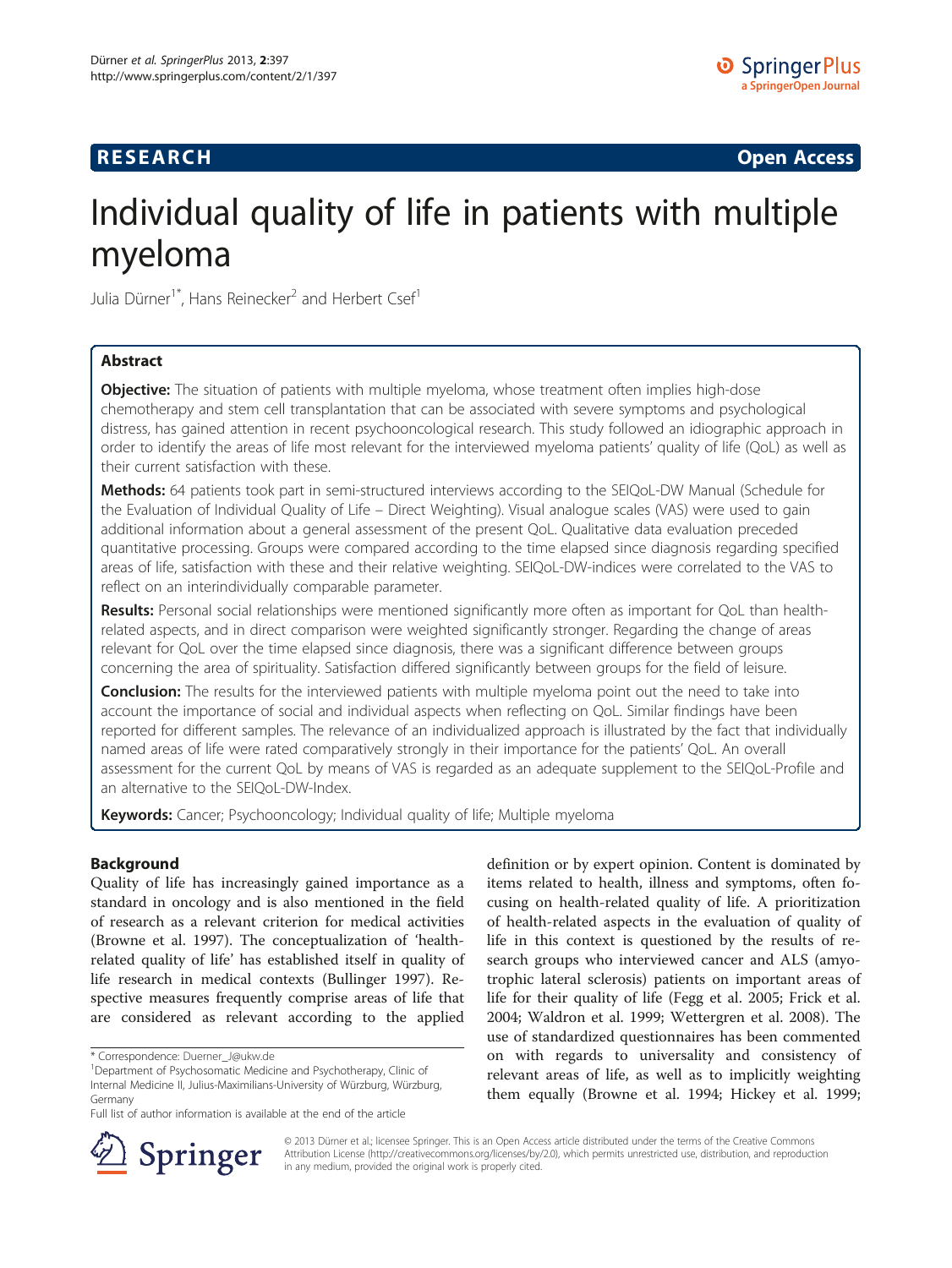## **RESEARCH CHINESE ARCH CHINESE ARCH CHINESE ARCH <b>CHINESE ARCH**

# Individual quality of life in patients with multiple myeloma

Julia Dürner<sup>1\*</sup>, Hans Reinecker<sup>2</sup> and Herbert Csef<sup>1</sup>

## Abstract

**Objective:** The situation of patients with multiple myeloma, whose treatment often implies high-dose chemotherapy and stem cell transplantation that can be associated with severe symptoms and psychological distress, has gained attention in recent psychooncological research. This study followed an idiographic approach in order to identify the areas of life most relevant for the interviewed myeloma patients' quality of life (QoL) as well as their current satisfaction with these.

Methods: 64 patients took part in semi-structured interviews according to the SEIQoL-DW Manual (Schedule for the Evaluation of Individual Quality of Life – Direct Weighting). Visual analogue scales (VAS) were used to gain additional information about a general assessment of the present QoL. Qualitative data evaluation preceded quantitative processing. Groups were compared according to the time elapsed since diagnosis regarding specified areas of life, satisfaction with these and their relative weighting. SEIQoL-DW-indices were correlated to the VAS to reflect on an interindividually comparable parameter.

Results: Personal social relationships were mentioned significantly more often as important for QoL than healthrelated aspects, and in direct comparison were weighted significantly stronger. Regarding the change of areas relevant for QoL over the time elapsed since diagnosis, there was a significant difference between groups concerning the area of spirituality. Satisfaction differed significantly between groups for the field of leisure.

**Conclusion:** The results for the interviewed patients with multiple myeloma point out the need to take into account the importance of social and individual aspects when reflecting on QoL. Similar findings have been reported for different samples. The relevance of an individualized approach is illustrated by the fact that individually named areas of life were rated comparatively strongly in their importance for the patients' QoL. An overall assessment for the current QoL by means of VAS is regarded as an adequate supplement to the SEIQoL-Profile and an alternative to the SEIQoL-DW-Index.

**Keywords:** Cancer; Psychooncology; Individual quality of life; Multiple myeloma

## Background

Quality of life has increasingly gained importance as a standard in oncology and is also mentioned in the field of research as a relevant criterion for medical activities (Browne et al. [1997](#page-6-0)). The conceptualization of 'healthrelated quality of life' has established itself in quality of life research in medical contexts (Bullinger [1997](#page-6-0)). Respective measures frequently comprise areas of life that are considered as relevant according to the applied

definition or by expert opinion. Content is dominated by items related to health, illness and symptoms, often focusing on health-related quality of life. A prioritization of health-related aspects in the evaluation of quality of life in this context is questioned by the results of research groups who interviewed cancer and ALS (amyotrophic lateral sclerosis) patients on important areas of life for their quality of life (Fegg et al. [2005;](#page-6-0) Frick et al. [2004](#page-6-0); Waldron et al. [1999;](#page-7-0) Wettergren et al. [2008](#page-7-0)). The use of standardized questionnaires has been commented on with regards to universality and consistency of relevant areas of life, as well as to implicitly weighting them equally (Browne et al. [1994](#page-6-0); Hickey et al. [1999](#page-6-0);



© 2013 Dürner et al.; licensee Springer. This is an Open Access article distributed under the terms of the Creative Commons Attribution License [\(http://creativecommons.org/licenses/by/2.0\)](http://creativecommons.org/licenses/by/2.0), which permits unrestricted use, distribution, and reproduction in any medium, provided the original work is properly cited.

<sup>\*</sup> Correspondence: [Duerner\\_J@ukw.de](mailto:Duerner_J@ukw.de) <sup>1</sup>

<sup>&</sup>lt;sup>1</sup>Department of Psychosomatic Medicine and Psychotherapy, Clinic of Internal Medicine II, Julius-Maximilians-University of Würzburg, Würzburg, Germany

Full list of author information is available at the end of the article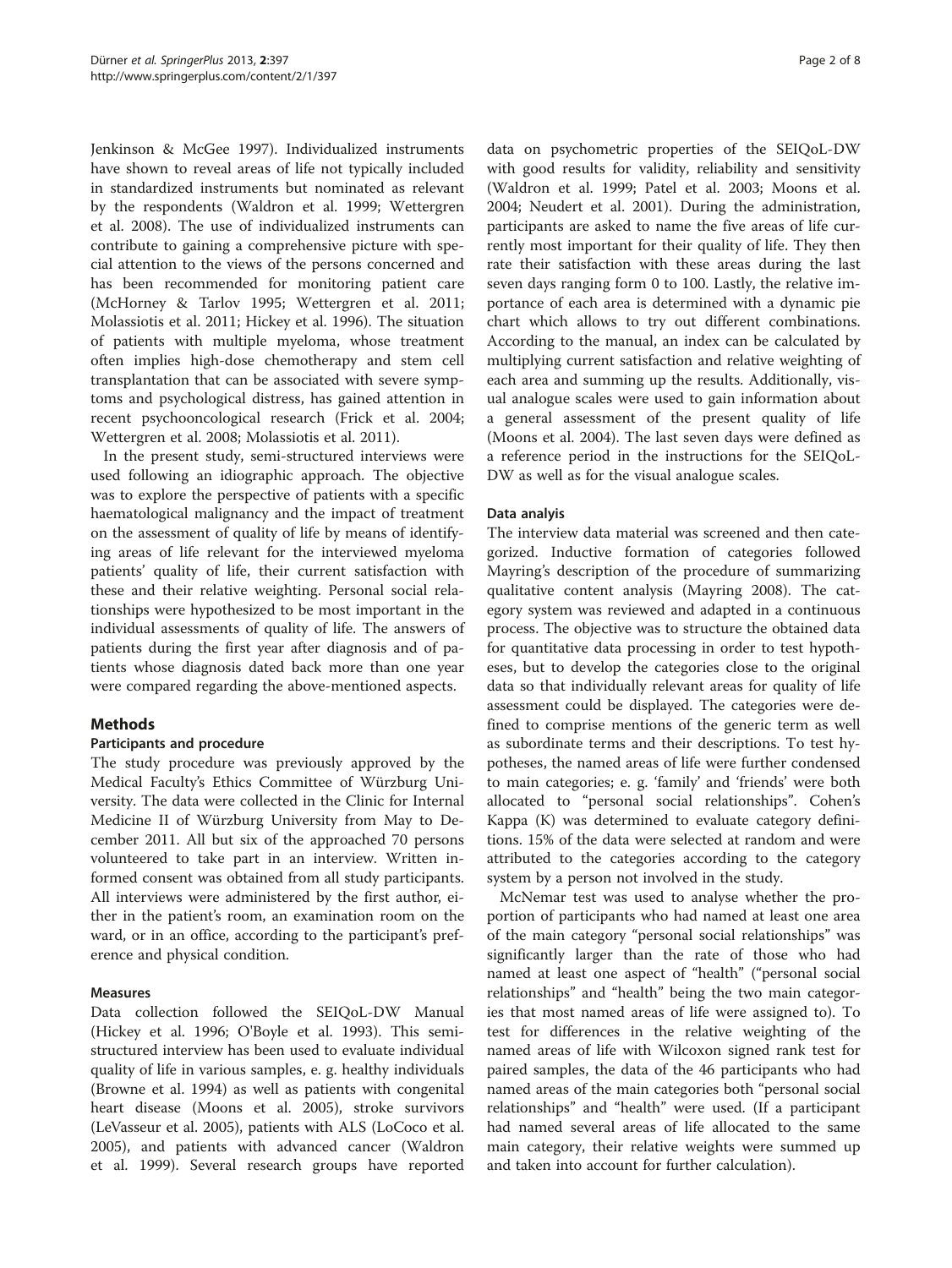Jenkinson & McGee [1997](#page-6-0)). Individualized instruments have shown to reveal areas of life not typically included in standardized instruments but nominated as relevant by the respondents (Waldron et al. [1999](#page-7-0); Wettergren et al. [2008\)](#page-7-0). The use of individualized instruments can contribute to gaining a comprehensive picture with special attention to the views of the persons concerned and has been recommended for monitoring patient care (McHorney & Tarlov [1995](#page-7-0); Wettergren et al. [2011](#page-7-0); Molassiotis et al. [2011](#page-7-0); Hickey et al. [1996](#page-6-0)). The situation of patients with multiple myeloma, whose treatment often implies high-dose chemotherapy and stem cell transplantation that can be associated with severe symptoms and psychological distress, has gained attention in recent psychooncological research (Frick et al. [2004](#page-6-0); Wettergren et al. [2008;](#page-7-0) Molassiotis et al. [2011\)](#page-7-0).

In the present study, semi-structured interviews were used following an idiographic approach. The objective was to explore the perspective of patients with a specific haematological malignancy and the impact of treatment on the assessment of quality of life by means of identifying areas of life relevant for the interviewed myeloma patients' quality of life, their current satisfaction with these and their relative weighting. Personal social relationships were hypothesized to be most important in the individual assessments of quality of life. The answers of patients during the first year after diagnosis and of patients whose diagnosis dated back more than one year were compared regarding the above-mentioned aspects.

## **Methods**

## Participants and procedure

The study procedure was previously approved by the Medical Faculty's Ethics Committee of Würzburg University. The data were collected in the Clinic for Internal Medicine II of Würzburg University from May to December 2011. All but six of the approached 70 persons volunteered to take part in an interview. Written informed consent was obtained from all study participants. All interviews were administered by the first author, either in the patient's room, an examination room on the ward, or in an office, according to the participant's preference and physical condition.

## Measures

Data collection followed the SEIQoL-DW Manual (Hickey et al. [1996](#page-6-0); O'Boyle et al. [1993\)](#page-7-0). This semistructured interview has been used to evaluate individual quality of life in various samples, e. g. healthy individuals (Browne et al. [1994](#page-6-0)) as well as patients with congenital heart disease (Moons et al. [2005](#page-7-0)), stroke survivors (LeVasseur et al. [2005\)](#page-7-0), patients with ALS (LoCoco et al. [2005](#page-7-0)), and patients with advanced cancer (Waldron et al. [1999\)](#page-7-0). Several research groups have reported

data on psychometric properties of the SEIQoL-DW with good results for validity, reliability and sensitivity (Waldron et al. [1999](#page-7-0); Patel et al. [2003;](#page-7-0) Moons et al. [2004](#page-7-0); Neudert et al. [2001\)](#page-7-0). During the administration, participants are asked to name the five areas of life currently most important for their quality of life. They then rate their satisfaction with these areas during the last seven days ranging form 0 to 100. Lastly, the relative importance of each area is determined with a dynamic pie chart which allows to try out different combinations. According to the manual, an index can be calculated by multiplying current satisfaction and relative weighting of each area and summing up the results. Additionally, visual analogue scales were used to gain information about a general assessment of the present quality of life (Moons et al. [2004](#page-7-0)). The last seven days were defined as a reference period in the instructions for the SEIQoL-DW as well as for the visual analogue scales.

## Data analyis

The interview data material was screened and then categorized. Inductive formation of categories followed Mayring's description of the procedure of summarizing qualitative content analysis (Mayring [2008\)](#page-7-0). The category system was reviewed and adapted in a continuous process. The objective was to structure the obtained data for quantitative data processing in order to test hypotheses, but to develop the categories close to the original data so that individually relevant areas for quality of life assessment could be displayed. The categories were defined to comprise mentions of the generic term as well as subordinate terms and their descriptions. To test hypotheses, the named areas of life were further condensed to main categories; e. g. 'family' and 'friends' were both allocated to "personal social relationships". Cohen's Kappa (K) was determined to evaluate category definitions. 15% of the data were selected at random and were attributed to the categories according to the category system by a person not involved in the study.

McNemar test was used to analyse whether the proportion of participants who had named at least one area of the main category "personal social relationships" was significantly larger than the rate of those who had named at least one aspect of "health" ("personal social relationships" and "health" being the two main categories that most named areas of life were assigned to). To test for differences in the relative weighting of the named areas of life with Wilcoxon signed rank test for paired samples, the data of the 46 participants who had named areas of the main categories both "personal social relationships" and "health" were used. (If a participant had named several areas of life allocated to the same main category, their relative weights were summed up and taken into account for further calculation).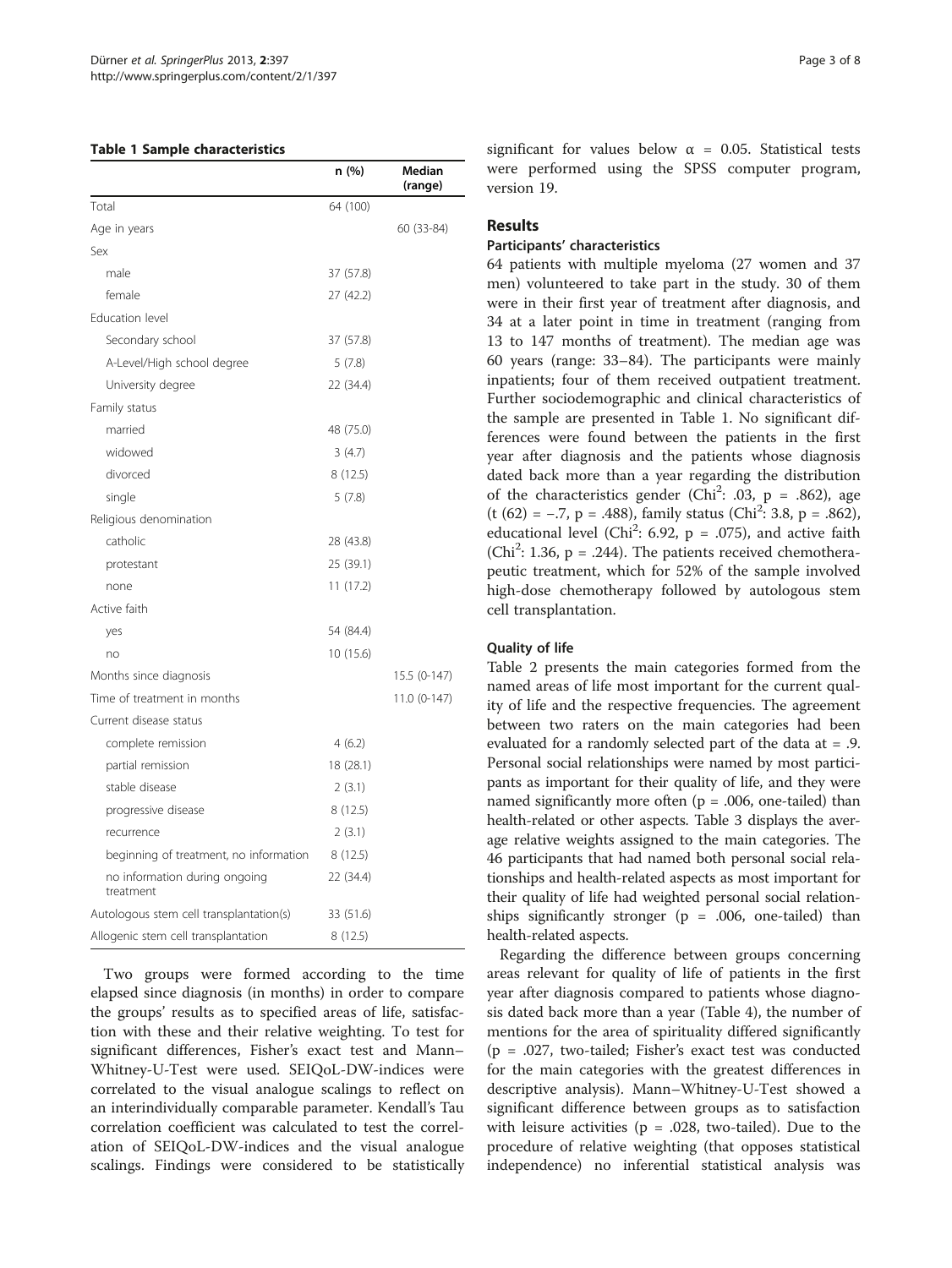#### Table 1 Sample characteristics

|                                            | n (%)     | <b>Median</b><br>(range) |
|--------------------------------------------|-----------|--------------------------|
| Total                                      | 64 (100)  |                          |
| Age in years                               |           | 60 (33-84)               |
| Sex                                        |           |                          |
| male                                       | 37 (57.8) |                          |
| female                                     | 27 (42.2) |                          |
| Education level                            |           |                          |
| Secondary school                           | 37 (57.8) |                          |
| A-Level/High school degree                 | 5(7.8)    |                          |
| University degree                          | 22 (34.4) |                          |
| Family status                              |           |                          |
| married                                    | 48 (75.0) |                          |
| widowed                                    | 3(4.7)    |                          |
| divorced                                   | 8(12.5)   |                          |
| single                                     | 5(7.8)    |                          |
| Religious denomination                     |           |                          |
| catholic                                   | 28 (43.8) |                          |
| protestant                                 | 25 (39.1) |                          |
| none                                       | 11(17.2)  |                          |
| Active faith                               |           |                          |
| yes                                        | 54 (84.4) |                          |
| no                                         | 10 (15.6) |                          |
| Months since diagnosis                     |           | 15.5 (0-147)             |
| Time of treatment in months                |           | 11.0 (0-147)             |
| Current disease status                     |           |                          |
| complete remission                         | 4(6.2)    |                          |
| partial remission                          | 18 (28.1) |                          |
| stable disease                             | 2(3.1)    |                          |
| progressive disease                        | 8(12.5)   |                          |
| recurrence                                 | 2(3.1)    |                          |
| beginning of treatment, no information     | 8(12.5)   |                          |
| no information during ongoing<br>treatment | 22 (34.4) |                          |
| Autologous stem cell transplantation(s)    | 33 (51.6) |                          |
| Allogenic stem cell transplantation        | 8(12.5)   |                          |

Two groups were formed according to the time elapsed since diagnosis (in months) in order to compare the groups' results as to specified areas of life, satisfaction with these and their relative weighting. To test for significant differences, Fisher's exact test and Mann– Whitney-U-Test were used. SEIQoL-DW-indices were correlated to the visual analogue scalings to reflect on an interindividually comparable parameter. Kendall's Tau correlation coefficient was calculated to test the correlation of SEIQoL-DW-indices and the visual analogue scalings. Findings were considered to be statistically

significant for values below  $\alpha$  = 0.05. Statistical tests were performed using the SPSS computer program, version 19.

## Results

## Participants' characteristics

64 patients with multiple myeloma (27 women and 37 men) volunteered to take part in the study. 30 of them were in their first year of treatment after diagnosis, and 34 at a later point in time in treatment (ranging from 13 to 147 months of treatment). The median age was 60 years (range: 33–84). The participants were mainly inpatients; four of them received outpatient treatment. Further sociodemographic and clinical characteristics of the sample are presented in Table 1. No significant differences were found between the patients in the first year after diagnosis and the patients whose diagnosis dated back more than a year regarding the distribution of the characteristics gender (Chi<sup>2</sup>: .03, p = .862), age (t (62) =  $-.7$ , p = .488), family status (Chi<sup>2</sup>: 3.8, p = .862), educational level (Chi<sup>2</sup>: 6.92, p = .075), and active faith (Chi<sup>2</sup>: 1.36,  $p = .244$ ). The patients received chemotherapeutic treatment, which for 52% of the sample involved high-dose chemotherapy followed by autologous stem cell transplantation.

#### Quality of life

Table [2](#page-3-0) presents the main categories formed from the named areas of life most important for the current quality of life and the respective frequencies. The agreement between two raters on the main categories had been evaluated for a randomly selected part of the data at = .9. Personal social relationships were named by most participants as important for their quality of life, and they were named significantly more often ( $p = .006$ , one-tailed) than health-related or other aspects. Table [3](#page-4-0) displays the average relative weights assigned to the main categories. The 46 participants that had named both personal social relationships and health-related aspects as most important for their quality of life had weighted personal social relationships significantly stronger ( $p = .006$ , one-tailed) than health-related aspects.

Regarding the difference between groups concerning areas relevant for quality of life of patients in the first year after diagnosis compared to patients whose diagnosis dated back more than a year (Table [4](#page-4-0)), the number of mentions for the area of spirituality differed significantly (p = .027, two-tailed; Fisher's exact test was conducted for the main categories with the greatest differences in descriptive analysis). Mann–Whitney-U-Test showed a significant difference between groups as to satisfaction with leisure activities ( $p = .028$ , two-tailed). Due to the procedure of relative weighting (that opposes statistical independence) no inferential statistical analysis was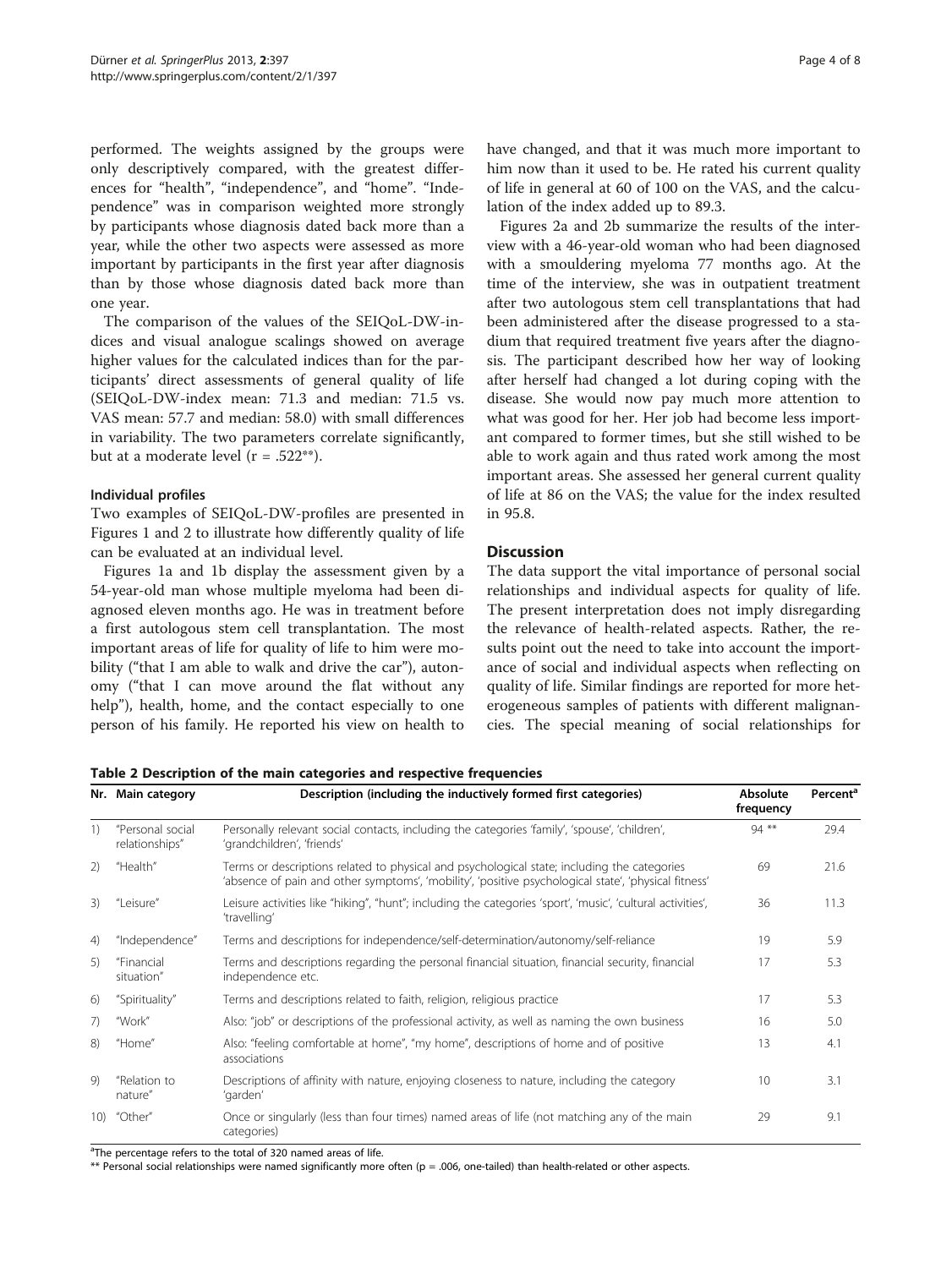<span id="page-3-0"></span>performed. The weights assigned by the groups were only descriptively compared, with the greatest differences for "health", "independence", and "home". "Independence" was in comparison weighted more strongly by participants whose diagnosis dated back more than a year, while the other two aspects were assessed as more important by participants in the first year after diagnosis than by those whose diagnosis dated back more than one year.

The comparison of the values of the SEIQoL-DW-indices and visual analogue scalings showed on average higher values for the calculated indices than for the participants' direct assessments of general quality of life (SEIQoL-DW-index mean: 71.3 and median: 71.5 vs. VAS mean: 57.7 and median: 58.0) with small differences in variability. The two parameters correlate significantly, but at a moderate level  $(r = .522**)$ .

#### Individual profiles

Two examples of SEIQoL-DW-profiles are presented in Figures [1](#page-5-0) and [2](#page-5-0) to illustrate how differently quality of life can be evaluated at an individual level.

Figures [1a](#page-5-0) and [1b](#page-5-0) display the assessment given by a 54-year-old man whose multiple myeloma had been diagnosed eleven months ago. He was in treatment before a first autologous stem cell transplantation. The most important areas of life for quality of life to him were mobility ("that I am able to walk and drive the car"), autonomy ("that I can move around the flat without any help"), health, home, and the contact especially to one person of his family. He reported his view on health to have changed, and that it was much more important to him now than it used to be. He rated his current quality of life in general at 60 of 100 on the VAS, and the calculation of the index added up to 89.3.

Figures [2a](#page-5-0) and [2b](#page-5-0) summarize the results of the interview with a 46-year-old woman who had been diagnosed with a smouldering myeloma 77 months ago. At the time of the interview, she was in outpatient treatment after two autologous stem cell transplantations that had been administered after the disease progressed to a stadium that required treatment five years after the diagnosis. The participant described how her way of looking after herself had changed a lot during coping with the disease. She would now pay much more attention to what was good for her. Her job had become less important compared to former times, but she still wished to be able to work again and thus rated work among the most important areas. She assessed her general current quality of life at 86 on the VAS; the value for the index resulted in 95.8.

## **Discussion**

The data support the vital importance of personal social relationships and individual aspects for quality of life. The present interpretation does not imply disregarding the relevance of health-related aspects. Rather, the results point out the need to take into account the importance of social and individual aspects when reflecting on quality of life. Similar findings are reported for more heterogeneous samples of patients with different malignancies. The special meaning of social relationships for

Table 2 Description of the main categories and respective frequencies

|         | Nr. Main category                  | Description (including the inductively formed first categories)                                                                                                                                     | Absolute<br>frequency | Percent <sup>a</sup> |
|---------|------------------------------------|-----------------------------------------------------------------------------------------------------------------------------------------------------------------------------------------------------|-----------------------|----------------------|
| 1)      | "Personal social<br>relationships" | Personally relevant social contacts, including the categories 'family', 'spouse', 'children',<br>'grandchildren', 'friends'                                                                         | $94$ **               | 29.4                 |
| 2)      | "Health"                           | Terms or descriptions related to physical and psychological state; including the categories<br>'absence of pain and other symptoms', 'mobility', 'positive psychological state', 'physical fitness' | 69                    | 21.6                 |
| 3)      | "Leisure"                          | Leisure activities like "hiking", "hunt"; including the categories 'sport', 'music', 'cultural activities',<br>'travelling'                                                                         | 36                    | 11.3                 |
| 4)      | "Independence"                     | Terms and descriptions for independence/self-determination/autonomy/self-reliance                                                                                                                   | 19                    | 5.9                  |
| 5)      | "Financial<br>situation"           | Terms and descriptions regarding the personal financial situation, financial security, financial<br>independence etc.                                                                               | 17                    | 5.3                  |
| 6)      | "Spirituality"                     | Terms and descriptions related to faith, religion, religious practice                                                                                                                               | 17                    | 5.3                  |
| 7)      | "Work"                             | Also: "job" or descriptions of the professional activity, as well as naming the own business                                                                                                        | 16                    | 5.0                  |
| $\{8\}$ | "Home"                             | Also: "feeling comfortable at home", "my home", descriptions of home and of positive<br>associations                                                                                                | 13                    | 4.1                  |
| 9)      | "Relation to<br>nature"            | Descriptions of affinity with nature, enjoying closeness to nature, including the category<br>'garden'                                                                                              | 10                    | 3.1                  |
| 10)     | "Other"                            | Once or singularly (less than four times) named areas of life (not matching any of the main<br>categories)                                                                                          | 29                    | 9.1                  |

<sup>a</sup>The percentage refers to the total of 320 named areas of life.

\*\* Personal social relationships were named significantly more often (p = .006, one-tailed) than health-related or other aspects.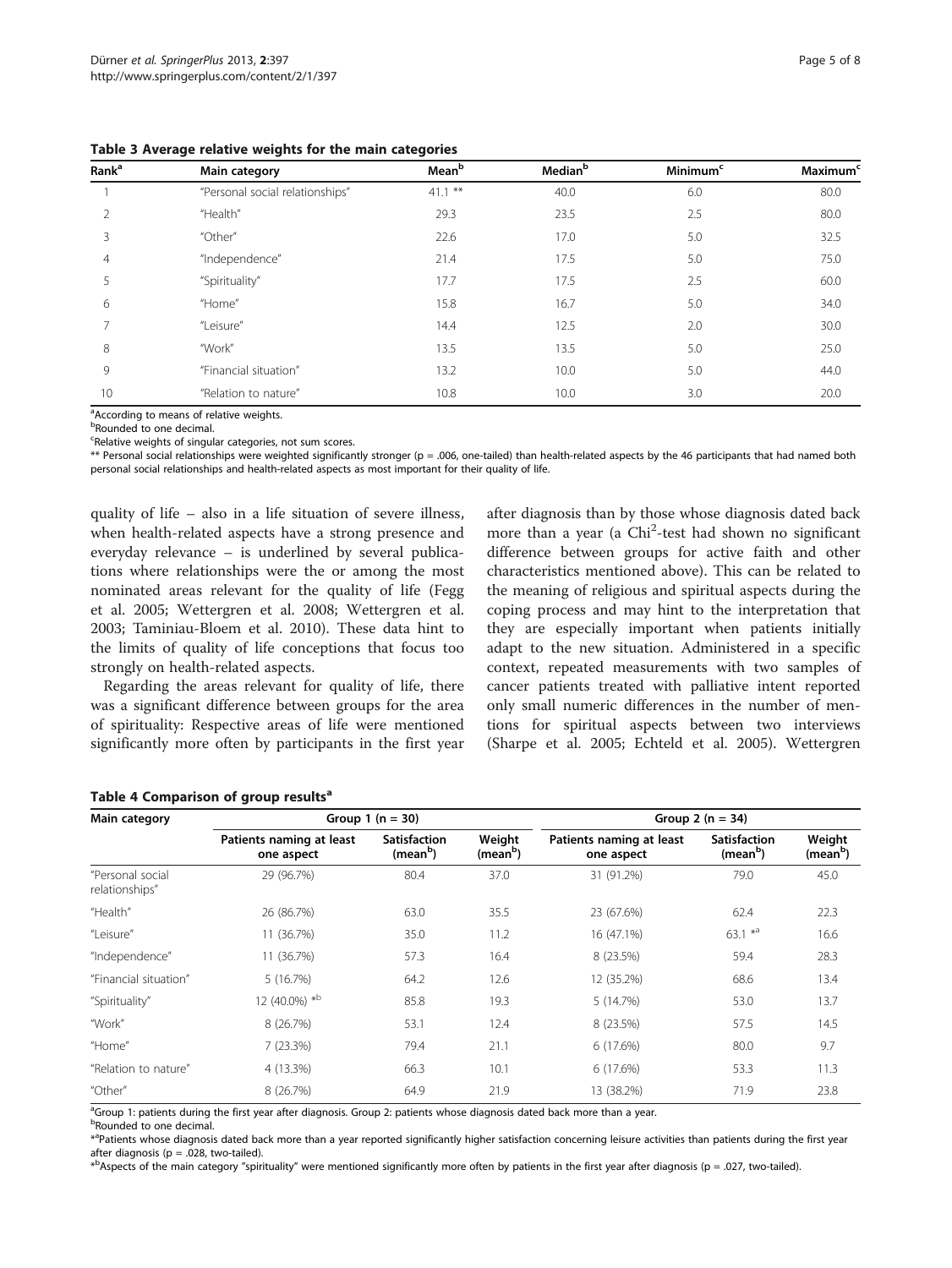| Rank <sup>a</sup> | Main category                   | Mean <sup>b</sup> | Median <sup>b</sup> | <b>Minimum<sup>c</sup></b> | <b>Maximum<sup>c</sup></b> |
|-------------------|---------------------------------|-------------------|---------------------|----------------------------|----------------------------|
|                   | "Personal social relationships" | $41.1***$         | 40.0                | 6.0                        | 80.0                       |
|                   | "Health"                        | 29.3              | 23.5                | 2.5                        | 80.0                       |
| 3                 | "Other"                         | 22.6              | 17.0                | 5.0                        | 32.5                       |
| $\overline{4}$    | "Independence"                  | 21.4              | 17.5                | 5.0                        | 75.0                       |
| 5                 | "Spirituality"                  | 17.7              | 17.5                | 2.5                        | 60.0                       |
| 6                 | "Home"                          | 15.8              | 16.7                | 5.0                        | 34.0                       |
|                   | "Leisure"                       | 14.4              | 12.5                | 2.0                        | 30.0                       |
| 8                 | "Work"                          | 13.5              | 13.5                | 5.0                        | 25.0                       |
| 9                 | "Financial situation"           | 13.2              | 10.0                | 5.0                        | 44.0                       |
| 10                | "Relation to nature"            | 10.8              | 10.0                | 3.0                        | 20.0                       |

<span id="page-4-0"></span>Table 3 Average relative weights for the main categories

<sup>a</sup>According to means of relative weights.

<sup>b</sup>Rounded to one decimal.

<sup>c</sup>Relative weights of singular categories, not sum scores.

\*\* Personal social relationships were weighted significantly stronger (p = .006, one-tailed) than health-related aspects by the 46 participants that had named both personal social relationships and health-related aspects as most important for their quality of life.

quality of life – also in a life situation of severe illness, when health-related aspects have a strong presence and everyday relevance – is underlined by several publications where relationships were the or among the most nominated areas relevant for the quality of life (Fegg et al. [2005](#page-6-0); Wettergren et al. [2008](#page-7-0); Wettergren et al. [2003](#page-7-0); Taminiau-Bloem et al. [2010\)](#page-7-0). These data hint to the limits of quality of life conceptions that focus too strongly on health-related aspects.

Regarding the areas relevant for quality of life, there was a significant difference between groups for the area of spirituality: Respective areas of life were mentioned significantly more often by participants in the first year after diagnosis than by those whose diagnosis dated back more than a year (a Chi<sup>2</sup>-test had shown no significant difference between groups for active faith and other characteristics mentioned above). This can be related to the meaning of religious and spiritual aspects during the coping process and may hint to the interpretation that they are especially important when patients initially adapt to the new situation. Administered in a specific context, repeated measurements with two samples of cancer patients treated with palliative intent reported only small numeric differences in the number of mentions for spiritual aspects between two interviews (Sharpe et al. [2005](#page-7-0); Echteld et al. [2005\)](#page-6-0). Wettergren

#### Table 4 Comparison of group results<sup>a</sup>

| Main category                      | Group 1 ( $n = 30$ )                   |                                             |                                | Group 2 ( $n = 34$ )                   |                                             |                                |
|------------------------------------|----------------------------------------|---------------------------------------------|--------------------------------|----------------------------------------|---------------------------------------------|--------------------------------|
|                                    | Patients naming at least<br>one aspect | <b>Satisfaction</b><br>(mean <sup>b</sup> ) | Weight<br>(mean <sup>b</sup> ) | Patients naming at least<br>one aspect | <b>Satisfaction</b><br>(mean <sup>b</sup> ) | Weight<br>(mean <sup>b</sup> ) |
| "Personal social<br>relationships" | 29 (96.7%)                             | 80.4                                        | 37.0                           | 31 (91.2%)                             | 79.0                                        | 45.0                           |
| "Health"                           | 26 (86.7%)                             | 63.0                                        | 35.5                           | 23 (67.6%)                             | 62.4                                        | 22.3                           |
| "Leisure"                          | 11 (36.7%)                             | 35.0                                        | 11.2                           | 16 (47.1%)                             | $63.1 *a$                                   | 16.6                           |
| "Independence"                     | 11 (36.7%)                             | 57.3                                        | 16.4                           | 8 (23.5%)                              | 59.4                                        | 28.3                           |
| "Financial situation"              | 5(16.7%)                               | 64.2                                        | 12.6                           | 12 (35.2%)                             | 68.6                                        | 13.4                           |
| "Spirituality"                     | 12 (40.0%) *b                          | 85.8                                        | 19.3                           | 5 (14.7%)                              | 53.0                                        | 13.7                           |
| "Work"                             | 8 (26.7%)                              | 53.1                                        | 12.4                           | 8 (23.5%)                              | 57.5                                        | 14.5                           |
| "Home"                             | 7(23.3%)                               | 79.4                                        | 21.1                           | 6 (17.6%)                              | 80.0                                        | 9.7                            |
| "Relation to nature"               | 4 (13.3%)                              | 66.3                                        | 10.1                           | 6 (17.6%)                              | 53.3                                        | 11.3                           |
| "Other"                            | 8 (26.7%)                              | 64.9                                        | 21.9                           | 13 (38.2%)                             | 71.9                                        | 23.8                           |

a<br>Group 1: patients during the first year after diagnosis. Group 2: patients whose diagnosis dated back more than a year.

<sup>b</sup>Rounded to one decimal.

\*<sup>a</sup>Patients whose diagnosis dated back more than a year reported significantly higher satisfaction concerning leisure activities than patients during the first year after diagnosis ( $p = .028$ , two-tailed).

\* b Aspects of the main category "spirituality" were mentioned significantly more often by patients in the first year after diagnosis (p = .027, two-tailed).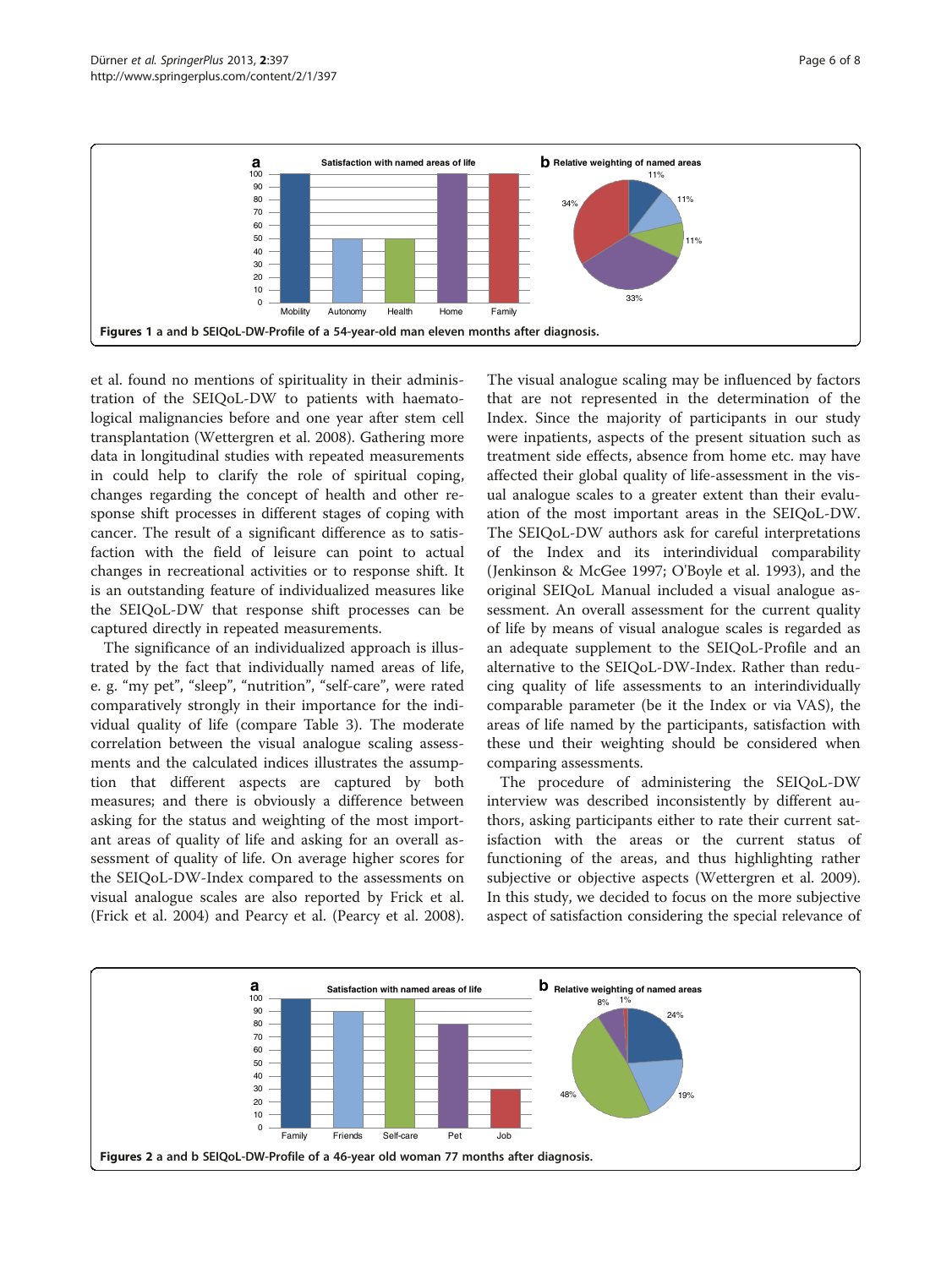<span id="page-5-0"></span>

et al. found no mentions of spirituality in their administration of the SEIQoL-DW to patients with haematological malignancies before and one year after stem cell transplantation (Wettergren et al. [2008\)](#page-7-0). Gathering more data in longitudinal studies with repeated measurements in could help to clarify the role of spiritual coping, changes regarding the concept of health and other response shift processes in different stages of coping with cancer. The result of a significant difference as to satisfaction with the field of leisure can point to actual changes in recreational activities or to response shift. It is an outstanding feature of individualized measures like the SEIQoL-DW that response shift processes can be captured directly in repeated measurements.

The significance of an individualized approach is illustrated by the fact that individually named areas of life, e. g. "my pet", "sleep", "nutrition", "self-care", were rated comparatively strongly in their importance for the individual quality of life (compare Table [3](#page-4-0)). The moderate correlation between the visual analogue scaling assessments and the calculated indices illustrates the assumption that different aspects are captured by both measures; and there is obviously a difference between asking for the status and weighting of the most important areas of quality of life and asking for an overall assessment of quality of life. On average higher scores for the SEIQoL-DW-Index compared to the assessments on visual analogue scales are also reported by Frick et al. (Frick et al. [2004\)](#page-6-0) and Pearcy et al. (Pearcy et al. [2008](#page-7-0)).

The visual analogue scaling may be influenced by factors that are not represented in the determination of the Index. Since the majority of participants in our study were inpatients, aspects of the present situation such as treatment side effects, absence from home etc. may have affected their global quality of life-assessment in the visual analogue scales to a greater extent than their evaluation of the most important areas in the SEIQoL-DW. The SEIQoL-DW authors ask for careful interpretations of the Index and its interindividual comparability (Jenkinson & McGee [1997;](#page-6-0) O'Boyle et al. [1993\)](#page-7-0), and the original SEIQoL Manual included a visual analogue assessment. An overall assessment for the current quality of life by means of visual analogue scales is regarded as an adequate supplement to the SEIQoL-Profile and an alternative to the SEIQoL-DW-Index. Rather than reducing quality of life assessments to an interindividually comparable parameter (be it the Index or via VAS), the areas of life named by the participants, satisfaction with these und their weighting should be considered when comparing assessments.

The procedure of administering the SEIQoL-DW interview was described inconsistently by different authors, asking participants either to rate their current satisfaction with the areas or the current status of functioning of the areas, and thus highlighting rather subjective or objective aspects (Wettergren et al. [2009](#page-7-0)). In this study, we decided to focus on the more subjective aspect of satisfaction considering the special relevance of

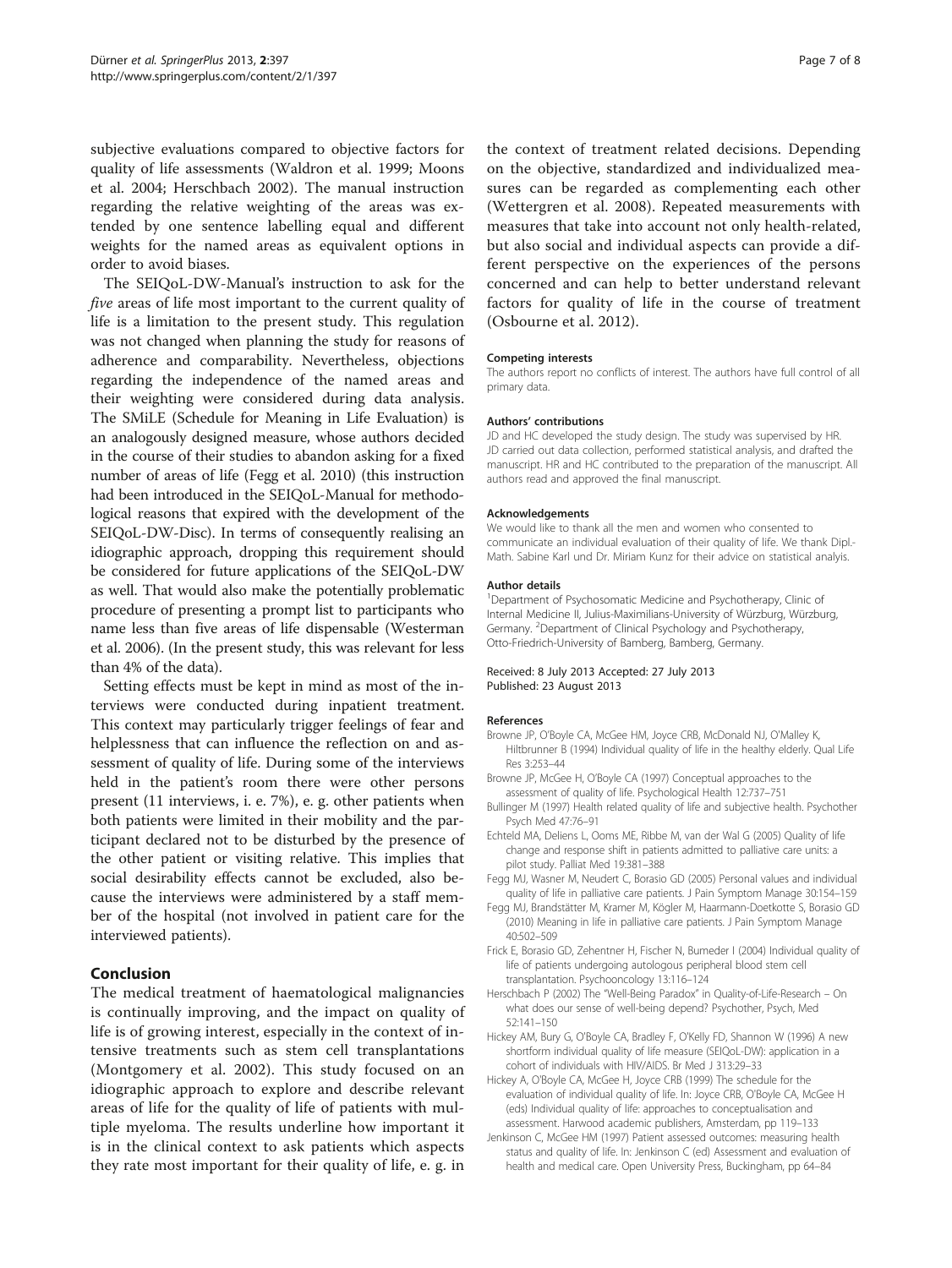<span id="page-6-0"></span>subjective evaluations compared to objective factors for quality of life assessments (Waldron et al. [1999](#page-7-0); Moons et al. [2004;](#page-7-0) Herschbach 2002). The manual instruction regarding the relative weighting of the areas was extended by one sentence labelling equal and different weights for the named areas as equivalent options in order to avoid biases.

The SEIQoL-DW-Manual's instruction to ask for the five areas of life most important to the current quality of life is a limitation to the present study. This regulation was not changed when planning the study for reasons of adherence and comparability. Nevertheless, objections regarding the independence of the named areas and their weighting were considered during data analysis. The SMiLE (Schedule for Meaning in Life Evaluation) is an analogously designed measure, whose authors decided in the course of their studies to abandon asking for a fixed number of areas of life (Fegg et al. 2010) (this instruction had been introduced in the SEIQoL-Manual for methodological reasons that expired with the development of the SEIQoL-DW-Disc). In terms of consequently realising an idiographic approach, dropping this requirement should be considered for future applications of the SEIQoL-DW as well. That would also make the potentially problematic procedure of presenting a prompt list to participants who name less than five areas of life dispensable (Westerman et al. [2006](#page-7-0)). (In the present study, this was relevant for less than 4% of the data).

Setting effects must be kept in mind as most of the interviews were conducted during inpatient treatment. This context may particularly trigger feelings of fear and helplessness that can influence the reflection on and assessment of quality of life. During some of the interviews held in the patient's room there were other persons present (11 interviews, i. e. 7%), e. g. other patients when both patients were limited in their mobility and the participant declared not to be disturbed by the presence of the other patient or visiting relative. This implies that social desirability effects cannot be excluded, also because the interviews were administered by a staff member of the hospital (not involved in patient care for the interviewed patients).

## Conclusion

The medical treatment of haematological malignancies is continually improving, and the impact on quality of life is of growing interest, especially in the context of intensive treatments such as stem cell transplantations (Montgomery et al. [2002\)](#page-7-0). This study focused on an idiographic approach to explore and describe relevant areas of life for the quality of life of patients with multiple myeloma. The results underline how important it is in the clinical context to ask patients which aspects they rate most important for their quality of life, e. g. in the context of treatment related decisions. Depending on the objective, standardized and individualized measures can be regarded as complementing each other (Wettergren et al. [2008\)](#page-7-0). Repeated measurements with measures that take into account not only health-related, but also social and individual aspects can provide a different perspective on the experiences of the persons concerned and can help to better understand relevant factors for quality of life in the course of treatment (Osbourne et al. [2012](#page-7-0)).

#### Competing interests

The authors report no conflicts of interest. The authors have full control of all primary data.

#### Authors' contributions

JD and HC developed the study design. The study was supervised by HR. JD carried out data collection, performed statistical analysis, and drafted the manuscript. HR and HC contributed to the preparation of the manuscript. All authors read and approved the final manuscript.

#### Acknowledgements

We would like to thank all the men and women who consented to communicate an individual evaluation of their quality of life. We thank Dipl.- Math. Sabine Karl und Dr. Miriam Kunz for their advice on statistical analyis.

#### Author details

<sup>1</sup>Department of Psychosomatic Medicine and Psychotherapy, Clinic of Internal Medicine II, Julius-Maximilians-University of Würzburg, Würzburg, Germany. <sup>2</sup>Department of Clinical Psychology and Psychotherapy, Otto-Friedrich-University of Bamberg, Bamberg, Germany.

#### Received: 8 July 2013 Accepted: 27 July 2013 Published: 23 August 2013

#### References

- Browne JP, O'Boyle CA, McGee HM, Joyce CRB, McDonald NJ, O'Malley K, Hiltbrunner B (1994) Individual quality of life in the healthy elderly. Qual Life Res 3:253–44
- Browne JP, McGee H, O'Boyle CA (1997) Conceptual approaches to the assessment of quality of life. Psychological Health 12:737–751
- Bullinger M (1997) Health related quality of life and subjective health. Psychother Psych Med 47:76–91
- Echteld MA, Deliens L, Ooms ME, Ribbe M, van der Wal G (2005) Quality of life change and response shift in patients admitted to palliative care units: a pilot study. Palliat Med 19:381–388
- Fegg MJ, Wasner M, Neudert C, Borasio GD (2005) Personal values and individual quality of life in palliative care patients. J Pain Symptom Manage 30:154–159
- Fegg MJ, Brandstätter M, Kramer M, Kögler M, Haarmann-Doetkotte S, Borasio GD (2010) Meaning in life in palliative care patients. J Pain Symptom Manage 40:502–509
- Frick E, Borasio GD, Zehentner H, Fischer N, Bumeder I (2004) Individual quality of life of patients undergoing autologous peripheral blood stem cell transplantation. Psychooncology 13:116–124
- Herschbach P (2002) The "Well-Being Paradox" in Quality-of-Life-Research On what does our sense of well-being depend? Psychother, Psych, Med 52:141–150
- Hickey AM, Bury G, O'Boyle CA, Bradley F, O'Kelly FD, Shannon W (1996) A new shortform individual quality of life measure (SEIQoL-DW): application in a cohort of individuals with HIV/AIDS. Br Med J 313:29–33
- Hickey A, O'Boyle CA, McGee H, Joyce CRB (1999) The schedule for the evaluation of individual quality of life. In: Joyce CRB, O'Boyle CA, McGee H (eds) Individual quality of life: approaches to conceptualisation and assessment. Harwood academic publishers, Amsterdam, pp 119–133
- Jenkinson C, McGee HM (1997) Patient assessed outcomes: measuring health status and quality of life. In: Jenkinson C (ed) Assessment and evaluation of health and medical care. Open University Press, Buckingham, pp 64–84